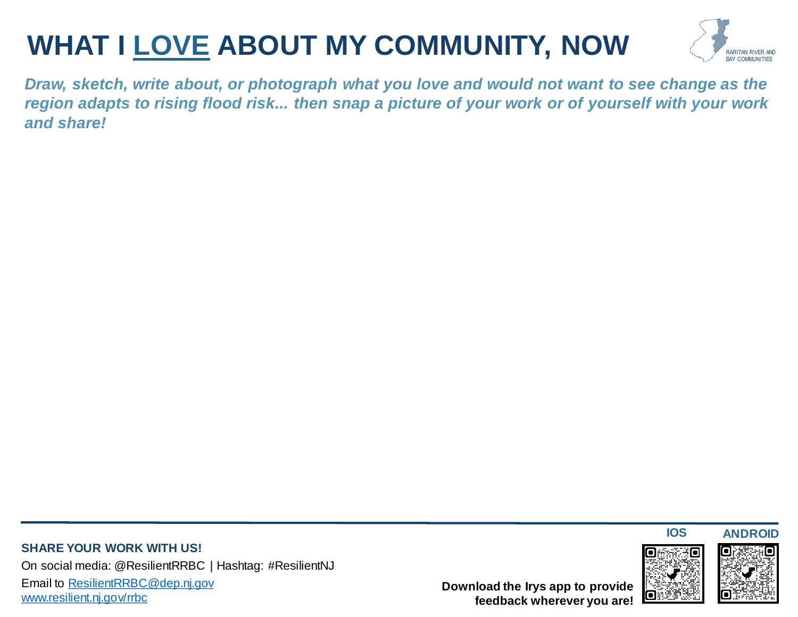# **WHAT I LOVE ABOUT MY COMMUNITY, NOW**



*Draw, sketch, write about, or photograph what you love and would not want to see change as the region adapts to rising flood risk... then snap a picture of your work or of yourself with your work and share!*

#### **SHARE YOUR WORK WITH US!** On social media: @ResilientRRBC | Hashtag: #ResilientNJ Email to [ResilientRRBC@dep.nj.gov](mailto:ResilientRRBC@dep.nj.gov) [www.resilient.nj.gov/rrbc](http://www.resilient.nj.gov/rrbc)

**Download the Irys app to provide feedback wherever you are!**





**IOS ANDROID**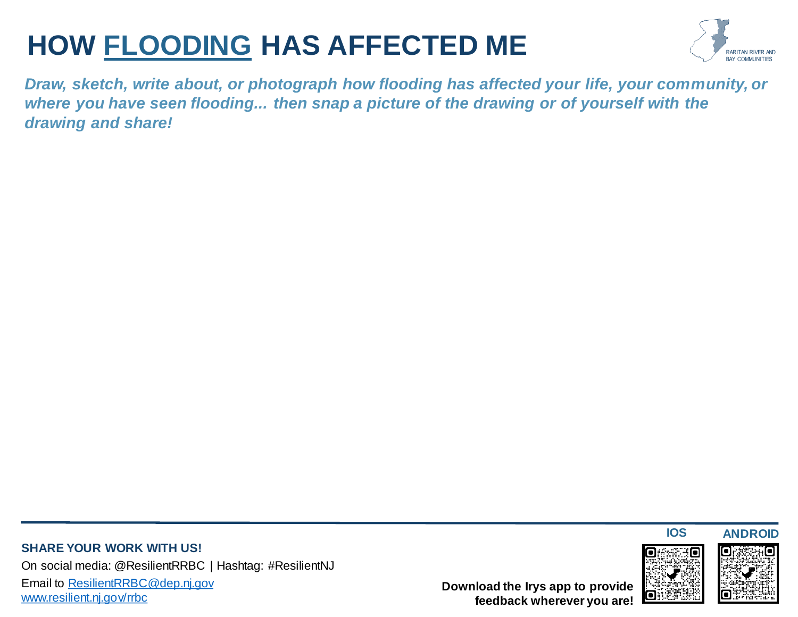### **HOW FLOODING HAS AFFECTED ME**



*Draw, sketch, write about, or photograph how flooding has affected your life, your community, or where you have seen flooding... then snap a picture of the drawing or of yourself with the drawing and share!*

#### **SHARE YOUR WORK WITH US!** On social media: @ResilientRRBC | Hashtag: #ResilientNJ Email to [ResilientRRBC@dep.nj.gov](mailto:ResilientRRBC@dep.nj.gov) [www.resilient.nj.gov/rrbc](http://www.resilient.nj.gov/rrbc)

**Download the Irys app to provide feedback wherever you are!**





**IOS ANDROID**